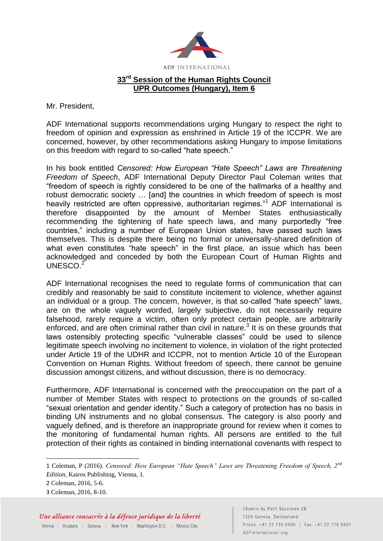

Mr. President,

ADF International supports recommendations urging Hungary to respect the right to freedom of opinion and expression as enshrined in Article 19 of the ICCPR. We are concerned, however, by other recommendations asking Hungary to impose limitations on this freedom with regard to so-called "hate speech."

In his book entitled *Censored: How European "Hate Speech" Laws are Threatening Freedom of Speech*, ADF International Deputy Director Paul Coleman writes that "freedom of speech is rightly considered to be one of the hallmarks of a healthy and robust democratic society … [and] the countries in which freedom of speech is most heavily restricted are often oppressive, authoritarian regimes."<sup>1</sup> ADF International is therefore disappointed by the amount of Member States enthusiastically recommending the tightening of hate speech laws, and many purportedly "free countries," including a number of European Union states, have passed such laws themselves. This is despite there being no formal or universally-shared definition of what even constitutes "hate speech" in the first place, an issue which has been acknowledged and conceded by both the European Court of Human Rights and UNESCO.<sup>2</sup>

ADF International recognises the need to regulate forms of communication that can credibly and reasonably be said to constitute incitement to violence, whether against an individual or a group. The concern, however, is that so-called "hate speech" laws, are on the whole vaguely worded, largely subjective, do not necessarily require falsehood, rarely require a victim, often only protect certain people, are arbitrarily enforced, and are often criminal rather than civil in nature.<sup>3</sup> It is on these grounds that laws ostensibly protecting specific "vulnerable classes" could be used to silence legitimate speech involving no incitement to violence, in violation of the right protected under Article 19 of the UDHR and ICCPR, not to mention Article 10 of the European Convention on Human Rights. Without freedom of speech, there cannot be genuine discussion amongst citizens, and without discussion, there is no democracy.

Furthermore, ADF International is concerned with the preoccupation on the part of a number of Member States with respect to protections on the grounds of so-called "sexual orientation and gender identity." Such a category of protection has no basis in binding UN instruments and no global consensus. The category is also poorly and vaguely defined, and is therefore an inappropriate ground for review when it comes to the monitoring of fundamental human rights. All persons are entitled to the full protection of their rights as contained in binding international covenants with respect to

-

<sup>1</sup> Coleman, P (2016). *Censored: How European "Hate Speech" Laws are Threatening Freedom of Speech, 2nd Edition*, Kairos Publishing, Vienna, 1.

<sup>2</sup> Coleman, 2016, 5-6.

<sup>3</sup> Coleman, 2016, 8-10.